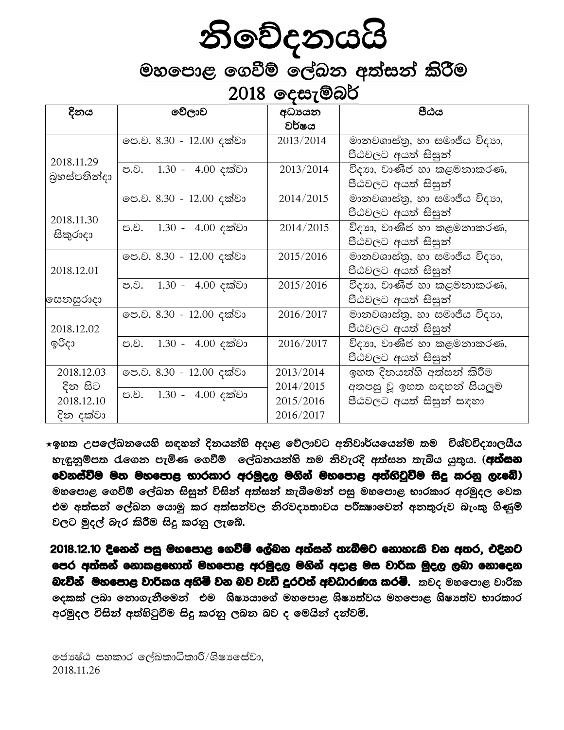# **නිවේදනයයි**<br>මහපොළ ගෙවීම් ලේඛන අත්සන් කිරීම<br>2018 දෙසැම්බර්

| දිනය         | වේලාව                    | අධායන     | පීඨය                         |
|--------------|--------------------------|-----------|------------------------------|
|              |                          | වර්ෂය     |                              |
|              | ලප.ව. 8.30 - 12.00 දක්වා | 2013/2014 | මානවශාස්තු, හා සමාජීය විදාහ, |
| 2018.11.29   |                          |           | පීඨවලට අයත් සිසුන්           |
| බුහස්පතින්දා | ප.ව. 1.30 - 4.00 දක්වා   | 2013/2014 | විදාහ, වාණිජ හා කළමනාකරණ,    |
|              |                          |           | පීඨවලට අයත් සිසුන්           |
|              | පෙ.ව. 8.30 - 12.00 දක්වා | 2014/2015 | මානවශාස්තු, හා සමාජීය විදාහ, |
| 2018.11.30   |                          |           | පීඨවලට අයත් සිසුන්           |
| සිකුරාදා     | ප.ව. 1.30 - 4.00 දක්වා   | 2014/2015 | විදාහ, වාණිජ හා කළමනාකරණ,    |
|              |                          |           | පීඨවලට අයත් සිසුන්           |
|              | ලප.ව. 8.30 - 12.00 දක්වා | 2015/2016 | මානවශාස්තු, හා සමාජීය විදාහ, |
| 2018.12.01   |                          |           | පීඨවලට අයත් සිසුන්           |
|              | ප.ව. 1.30 - 4.00 දක්වා   | 2015/2016 | විදාහ, වාණිජ හා කළමනාකරණ,    |
| සෙනසුරාදා    |                          |           | පීඨවලට අයත් සිසුන්           |
|              | පෙ.ව. 8.30 - 12.00 දක්වා | 2016/2017 | මානවශාස්තු, හා සමාජීය විදාහ, |
| 2018.12.02   |                          |           | පීඨවලට අයත් සිසුන්           |
| ඉරිදා        | ප.ව. 1.30 - 4.00 දක්වා   | 2016/2017 | විදාහ, වාණිජ හා කළමනාකරණ,    |
|              |                          |           | පීඨවලට අයත් සිසුන්           |
| 2018.12.03   | ලප.ව. 8.30 - 12.00 දක්වා | 2013/2014 | ඉහත දිනයන්හි අත්සන් කිරීම    |
| දින සිට      | ප.ව. 1.30 - 4.00 දක්වා   | 2014/2015 | අතපසු වූ ඉහත සඳහන් සියලුම    |
| 2018.12.10   |                          | 2015/2016 | පීඨවලට අයත් සිසුන් සඳහා      |
| දින දක්වා    |                          | 2016/2017 |                              |

★ඉහත උපලේබනයෙහි සඳහන් දිනයන්හි අදාළ වේලාවට අනිවාර්යයෙන්ම තම විශ්වවිදාාාලයීය හැඳුනුම්පත රැගෙන පැමිණ ගෙවීම් ලේඛනයන්හි තම නිවැරදි අත්සන තැබිය යුතුය. (**අත්සන** වෙනස්වීම මත මහපොළ භාරකාර අරමුදල මගින් මහපොළ අත්හිටුවීම සිදු කරනු ලැබේ) මහපොළ ගෙවිම් ලේඛන සිසුන් විසින් අත්සන් තැබීමෙන් පසු මහපොළ භාරකාර අරමුදල වෙත එම අත්සන් ලේඛන යොමු කර අත්සන්වල නිරවදාතාවය පරීකෂාවෙන් අනතුරුව බැංකු ගිණුම් වලට මුදල් බැර කිරීම සිදු කරනු ලැබේ.

2018.12.10 දිනෙන් පසු මහපොළ ගෙවීම් ලේබන අත්සන් තැබීමට නොහැකි වන අතර, එදිනට පෙර අත්සන් නොකළහොත් මහපොළ අරමුදල මගින් අදාළ මස වාරික මුදල ලබා නොදෙන **බැවින් මහපොළ වාරිකය අතිමි වන බව වැඩි දුරටත් අවධාරණය කරමි.** කවද මහපොළ වාරික **දෙකක් ලබා නොගැනීමෙන් එම ශිෂායාගේ මහපොළ ශිෂාත්වය මහපොළ ශිෂාත්ව භාරකාර** අරමුදල විසින් අත්හිටුවීම සිදු කරනු ලබන බව ද මෙයින් දන්වමි.